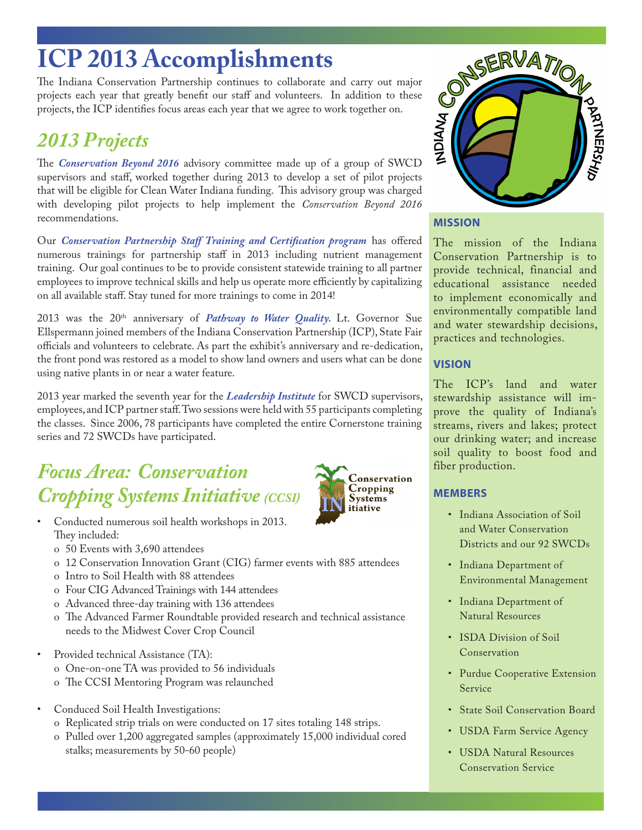# **ICP 2013 Accomplishments**

The Indiana Conservation Partnership continues to collaborate and carry out major projects each year that greatly benefit our staff and volunteers. In addition to these projects, the ICP identifies focus areas each year that we agree to work together on.

## *2013 Projects*

The *Conservation Beyond 2016* advisory committee made up of a group of SWCD supervisors and staff, worked together during 2013 to develop a set of pilot projects that will be eligible for Clean Water Indiana funding. This advisory group was charged with developing pilot projects to help implement the *Conservation Beyond 2016* recommendations.

Our *Conservation Partnership Staff Training and Certification program* has offered numerous trainings for partnership staff in 2013 including nutrient management training. Our goal continues to be to provide consistent statewide training to all partner employees to improve technical skills and help us operate more efficiently by capitalizing on all available staff. Stay tuned for more trainings to come in 2014!

2013 was the 20<sup>th</sup> anniversary of *Pathway to Water Quality*. Lt. Governor Sue Ellspermann joined members of the Indiana Conservation Partnership (ICP), State Fair officials and volunteers to celebrate. As part the exhibit's anniversary and re-dedication, the front pond was restored as a model to show land owners and users what can be done using native plants in or near a water feature.

2013 year marked the seventh year for the *Leadership Institute* for SWCD supervisors, employees, and ICP partner staff. Two sessions were held with 55 participants completing the classes. Since 2006, 78 participants have completed the entire Cornerstone training series and 72 SWCDs have participated.

## *Focus Area: Conservation Cropping Systems Initiative (CCSI)*



- Conducted numerous soil health workshops in 2013. They included:
	- o 50 Events with 3,690 attendees
	- o 12 Conservation Innovation Grant (CIG) farmer events with 885 attendees
	- o Intro to Soil Health with 88 attendees
	- o Four CIG Advanced Trainings with 144 attendees
	- o Advanced three-day training with 136 attendees
	- o The Advanced Farmer Roundtable provided research and technical assistance needs to the Midwest Cover Crop Council
- Provided technical Assistance (TA):
	- o One-on-one TA was provided to 56 individuals
	- o The CCSI Mentoring Program was relaunched
- Conduced Soil Health Investigations:
	- o Replicated strip trials on were conducted on 17 sites totaling 148 strips.
	- o Pulled over 1,200 aggregated samples (approximately 15,000 individual cored stalks; measurements by 50-60 people)



### **MISSION**

The mission of the Indiana Conservation Partnership is to provide technical, financial and educational assistance needed to implement economically and environmentally compatible land and water stewardship decisions, practices and technologies.

### **VISION**

The ICP's land and water stewardship assistance will improve the quality of Indiana's streams, rivers and lakes; protect our drinking water; and increase soil quality to boost food and fiber production.

### **MEMBERS**

- Indiana Association of Soil and Water Conservation Districts and our 92 SWCDs
- Indiana Department of Environmental Management
- Indiana Department of Natural Resources
- ISDA Division of Soil Conservation
- Purdue Cooperative Extension Service
- State Soil Conservation Board
- USDA Farm Service Agency
- USDA Natural Resources Conservation Service